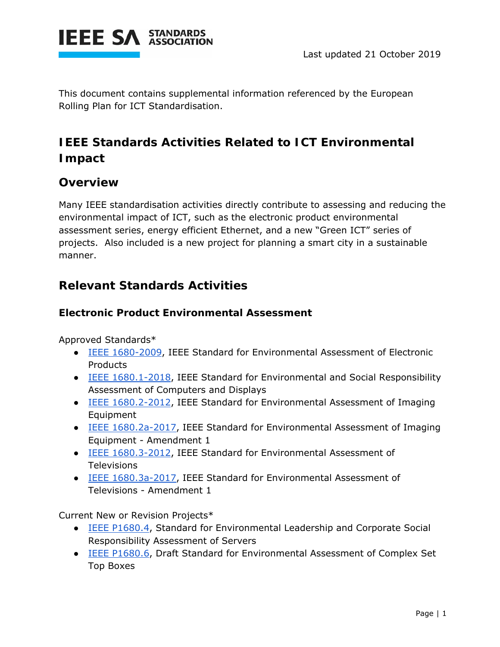

This document contains supplemental information referenced by the European Rolling Plan for ICT Standardisation.

### **IEEE Standards Activities Related to ICT Environmental Impact**

#### **Overview**

Many IEEE standardisation activities directly contribute to assessing and reducing the environmental impact of ICT, such as the electronic product environmental assessment series, energy efficient Ethernet, and a new "Green ICT" series of projects. Also included is a new project for planning a smart city in a sustainable manner.

#### **Relevant Standards Activities**

#### **Electronic Product Environmental Assessment**

Approved Standards\*

- IEEE 1680-2009, IEEE Standard for Environmental Assessment of Electronic **Products**
- IEEE 1680.1-2018, IEEE Standard for Environmental and Social Responsibility Assessment of Computers and Displays
- IEEE 1680.2-2012, IEEE Standard for Environmental Assessment of Imaging Equipment
- IEEE 1680.2a-2017, IEEE Standard for Environmental Assessment of Imaging Equipment - Amendment 1
- IEEE 1680.3-2012, IEEE Standard for Environmental Assessment of Televisions
- IEEE 1680.3a-2017, IEEE Standard for Environmental Assessment of Televisions - Amendment 1

Current New or Revision Projects\*

- IEEE P1680.4, Standard for Environmental Leadership and Corporate Social Responsibility Assessment of Servers
- IEEE P1680.6, Draft Standard for Environmental Assessment of Complex Set Top Boxes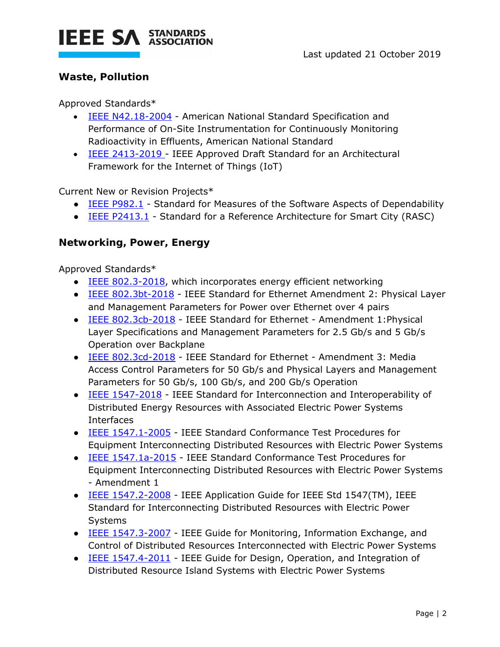

#### **Waste, Pollution**

Approved Standards\*

- **IEEE N42.18-2004 American National Standard Specification and** Performance of On-Site Instrumentation for Continuously Monitoring Radioactivity in Effluents, American National Standard
- IEEE 2413-2019 IEEE Approved Draft Standard for an Architectural Framework for the Internet of Things (IoT)

Current New or Revision Projects\*

- IEEE P982.1 Standard for Measures of the Software Aspects of Dependability
- IEEE P2413.1 Standard for a Reference Architecture for Smart City (RASC)

#### **Networking, Power, Energy**

Approved Standards\*

- IEEE 802.3-2018, which incorporates energy efficient networking
- IEEE 802.3bt-2018 IEEE Standard for Ethernet Amendment 2: Physical Layer and Management Parameters for Power over Ethernet over 4 pairs
- IEEE 802.3cb-2018 IEEE Standard for Ethernet Amendment 1:Physical Layer Specifications and Management Parameters for 2.5 Gb/s and 5 Gb/s Operation over Backplane
- IEEE 802.3cd-2018 IEEE Standard for Ethernet Amendment 3: Media Access Control Parameters for 50 Gb/s and Physical Layers and Management Parameters for 50 Gb/s, 100 Gb/s, and 200 Gb/s Operation
- IEEE 1547-2018 IEEE Standard for Interconnection and Interoperability of Distributed Energy Resources with Associated Electric Power Systems Interfaces
- IEEE 1547.1-2005 IEEE Standard Conformance Test Procedures for Equipment Interconnecting Distributed Resources with Electric Power Systems
- IEEE 1547.1a-2015 IEEE Standard Conformance Test Procedures for Equipment Interconnecting Distributed Resources with Electric Power Systems - Amendment 1
- IEEE 1547.2-2008 IEEE Application Guide for IEEE Std 1547(TM), IEEE Standard for Interconnecting Distributed Resources with Electric Power Systems
- IEEE 1547.3-2007 IEEE Guide for Monitoring, Information Exchange, and Control of Distributed Resources Interconnected with Electric Power Systems
- IEEE 1547.4-2011 IEEE Guide for Design, Operation, and Integration of Distributed Resource Island Systems with Electric Power Systems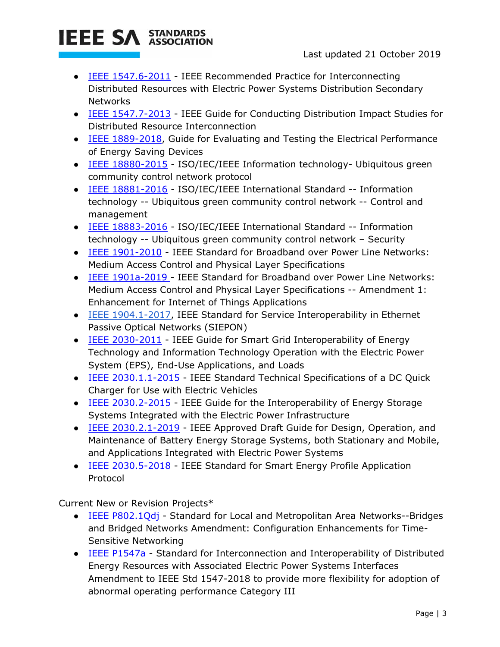# **IEEE SA STANDARDS**

- IEEE 1547.6-2011 IEEE Recommended Practice for Interconnecting Distributed Resources with Electric Power Systems Distribution Secondary **Networks**
- IEEE 1547.7-2013 IEEE Guide for Conducting Distribution Impact Studies for Distributed Resource Interconnection
- IEEE 1889-2018, Guide for Evaluating and Testing the Electrical Performance of Energy Saving Devices
- IEEE 18880-2015 ISO/IEC/IEEE Information technology- Ubiquitous green community control network protocol
- IEEE 18881-2016 ISO/IEC/IEEE International Standard -- Information technology -- Ubiquitous green community control network -- Control and management
- IEEE 18883-2016 ISO/IEC/IEEE International Standard -- Information technology -- Ubiquitous green community control network – Security
- IEEE 1901-2010 IEEE Standard for Broadband over Power Line Networks: Medium Access Control and Physical Layer Specifications
- IEEE 1901a-2019 IEEE Standard for Broadband over Power Line Networks: Medium Access Control and Physical Layer Specifications -- Amendment 1: Enhancement for Internet of Things Applications
- IEEE 1904.1-2017, IEEE Standard for Service Interoperability in Ethernet Passive Optical Networks (SIEPON)
- IEEE 2030-2011 IEEE Guide for Smart Grid Interoperability of Energy Technology and Information Technology Operation with the Electric Power System (EPS), End-Use Applications, and Loads
- IEEE 2030.1.1-2015 IEEE Standard Technical Specifications of a DC Quick Charger for Use with Electric Vehicles
- IEEE 2030.2-2015 IEEE Guide for the Interoperability of Energy Storage Systems Integrated with the Electric Power Infrastructure
- IEEE 2030.2.1-2019 IEEE Approved Draft Guide for Design, Operation, and Maintenance of Battery Energy Storage Systems, both Stationary and Mobile, and Applications Integrated with Electric Power Systems
- IEEE 2030.5-2018 IEEE Standard for Smart Energy Profile Application Protocol

Current New or Revision Projects\*

- **IEEE P802.1Qdj** Standard for Local and Metropolitan Area Networks--Bridges and Bridged Networks Amendment: Configuration Enhancements for Time-Sensitive Networking
- IEEE P1547a Standard for Interconnection and Interoperability of Distributed Energy Resources with Associated Electric Power Systems Interfaces Amendment to IEEE Std 1547-2018 to provide more flexibility for adoption of abnormal operating performance Category III